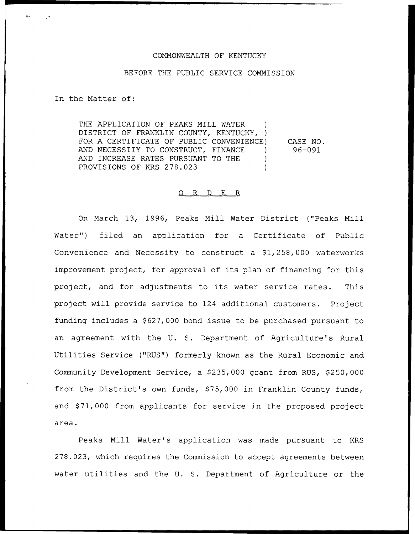#### COMMONWEALTH OF KENTUCKY

### BEFORE THE PUBLIC SERVICE COMMISSION

In the Matter of:

THE APPLICATION OF PEAKS MILL WATER DISTRICT OF FRANKLIN COUNTY, KENTUCKY, ) FOR A CERTIFICATE OF PUBLIC CONVENIENCE) AND NECESSITY TO CONSTRUCT, FINANCE AND INCREASE RATES PURSUANT TO THE PROVISIONS OF KRS 278.023 CASE NO. 96—091

#### 0 R <sup>D</sup> E R

On March 13, 1996, Peaks Mill Water District ("Peaks Mill Water") filed an application for a Certificate of Public Convenience and Necessity to construct a 91,258,000 waterworks improvement project, for approval of its plan of financing for this project, and for adjustments to its water service rates. This project will provide service to 124 additional customers. Project funding includes a \$ 627,000 bond issue to be purchased pursuant to an agreement with the U. 5. Department of Agriculture's Rural Utilities Service ("RUS") formerly known as the Rural Economic and Community Development Service, a \$235,000 grant from RUS, \$250,000 from the District's own funds, \$75,000 in Franklin County funds, and \$71,000 from applicants for service in the proposed project area.

Peaks Mill Water's application was made pursuant to KRS 278.023, which requires the Commission to accept agreements between water utilities and the U. S. Department of Agriculture or the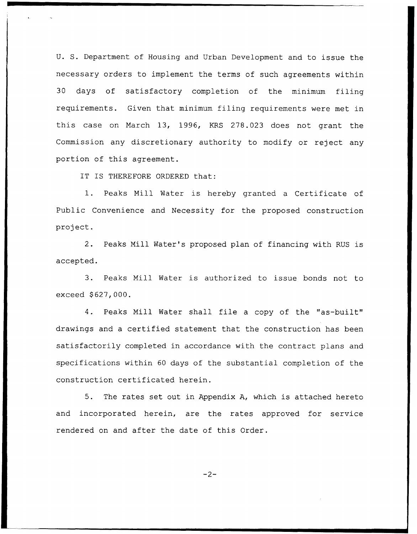U. S. Department of Housing and Urban Development and to issue the necessary orders to implement the terms of such agreements within 30 days of satisfactory completion of the minimum filing requirements. Given that minimum filing requirements were met in this case on March 13, 1996, KRS 278.023 does not grant the Commission any discretionary authority to modify or reject any portion of this agreement.

IT IS THEREFORE ORDERED that:

1. Peaks Mill Water is hereby granted <sup>a</sup> Certificate of Public Convenience and Necessity for the proposed construction project.

2. Peaks Mill Water's proposed plan of financing with RUS is accepted.

3. Peaks Mill Water is authorized to issue bonds not to exceed \$627,000.

4. Peaks Mill Water shall file a copy of the "as-built" drawings and a certified statement that the construction has been satisfactorily completed in accordance with the contract plans and specifications within 60 days of the substantial completion of the construction certificated herein.

5. The rates set out in Appendix A, which is attached hereto and incorporated herein, are the rates approved for service rendered on and after the date of this Order.

 $-2-$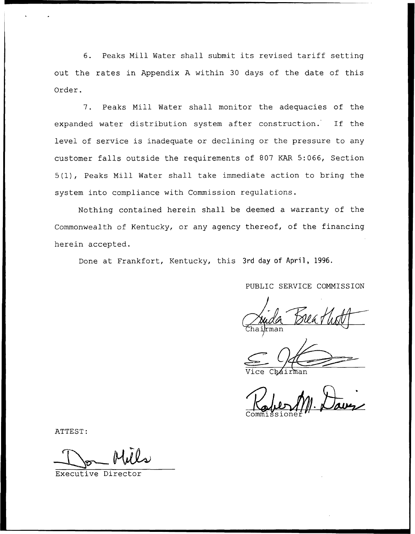6. Peaks Mill Water shall submit its revised tariff setting out the rates in Appendix <sup>A</sup> within 30 days of the date of this Order.

7. Peaks Mill Water shall monitor the adequacies of the expanded water distribution system after construction. If the level of service is inadequate or declining or the pressure to any customer falls outside the requirements of 807 KAR 5:066, Section 5(1), Peaks Mill Water shall take immediate action to bring the system into compliance with Commission regulations.

Nothing contained herein shall be deemed a warranty of the Commonwealth of Kentucky, or any agency thereof, of the financing herein accepted.

Done at Frankfort, Kentucky, this 3rd day of April, 1996.

PUBLIC SERVICE COMMISSION

man

Vice Chairma

ATTEST:

Executive Director